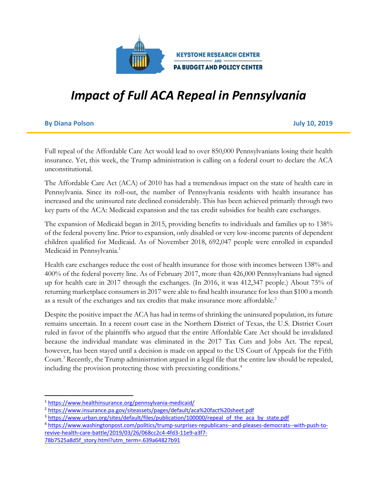

# *Impact of Full ACA Repeal in Pennsylvania*

#### **By Diana Polson July 10, 2019**

Full repeal of the Affordable Care Act would lead to over 850,000 Pennsylvanians losing their health insurance. Yet, this week, the Trump administration is calling on a federal court to declare the ACA unconstitutional.

The Affordable Care Act (ACA) of 2010 has had a tremendous impact on the state of health care in Pennsylvania. Since its roll-out, the number of Pennsylvania residents with health insurance has increased and the uninsured rate declined considerably. This has been achieved primarily through two key parts of the ACA: Medicaid expansion and the tax credit subsidies for health care exchanges.

The expansion of Medicaid began in 2015, providing benefits to individuals and families up to 138% of the federal poverty line. Prior to expansion, only disabled or very low-income parents of dependent children qualified for Medicaid. As of November 2018, 692,047 people were enrolled in expanded Medicaid in Pennsylvania.<sup>1</sup>

Health care exchanges reduce the cost of health insurance for those with incomes between 138% and 400% of the federal poverty line. As of February 2017, more than 426,000 Pennsylvanians had signed up for health care in 2017 through the exchanges. (In 2016, it was 412,347 people.) About 75% of returning marketplace consumers in 2017 were able to find health insurance for less than \$100 a month as a result of the exchanges and tax credits that make insurance more affordable.<sup>2</sup>

Despite the positive impact the ACA has had in terms of shrinking the uninsured population, its future remains uncertain. In a recent court case in the Northern District of Texas, the U.S. District Court ruled in favor of the plaintiffs who argued that the entire Affordable Care Act should be invalidated because the individual mandate was eliminated in the 2017 Tax Cuts and Jobs Act. The repeal, however, has been stayed until a decision is made on appeal to the US Court of Appeals for the Fifth Court.<sup>3</sup> Recently, the Trump administration argued in a legal file that the entire law should be repealed, including the provision protecting those with preexisting conditions. 4

 <sup>1</sup> https://www.healthinsurance.org/pennsylvania-medicaid/

<sup>2</sup> https://www.insurance.pa.gov/siteassets/pages/default/aca%20fact%20sheet.pdf

<sup>&</sup>lt;sup>3</sup> https://www.urban.org/sites/default/files/publication/100000/repeal\_of\_the\_aca\_by\_state.pdf

<sup>4</sup> https://www.washingtonpost.com/politics/trump-surprises-republicans--and-pleases-democrats--with-push-torevive-health-care-battle/2019/03/26/068cc2c4-4fd3-11e9-a3f7- 78b7525a8d5f\_story.html?utm\_term=.639a64827b91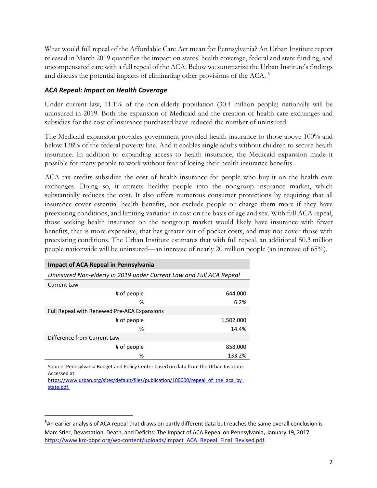What would full repeal of the Affordable Care Act mean for Pennsylvania? An Urban Institute report released in March 2019 quantifies the impact on states' health coverage, federal and state funding, and uncompensated care with a full repeal of the ACA. Below we summarize the Urban Institute's findings and discuss the potential impacts of eliminating other provisions of the ACA.<sup>5</sup>

## *ACA Repeal: Impact on Health Coverage*

Under current law, 11.1% of the non-elderly population (30.4 million people) nationally will be uninsured in 2019. Both the expansion of Medicaid and the creation of health care exchanges and subsidies for the cost of insurance purchased have reduced the number of uninsured.

The Medicaid expansion provides government-provided health insurance to those above 100% and below 138% of the federal poverty line. And it enables single adults without children to secure health insurance. In addition to expanding access to health insurance, the Medicaid expansion made it possible for many people to work without fear of losing their health insurance benefits.

ACA tax credits subsidize the cost of health insurance for people who buy it on the health care exchanges. Doing so, it attracts healthy people into the nongroup insurance market, which substantially reduces the cost. It also offers numerous consumer protections by requiring that all insurance cover essential health benefits, not exclude people or charge them more if they have preexisting conditions, and limiting variation in cost on the basis of age and sex. With full ACA repeal, those seeking health insurance on the nongroup market would likely have insurance with fewer benefits, that is more expensive, that has greater out-of-pocket costs, and may not cover those with preexisting conditions. The Urban Institute estimates that with full repeal, an additional 50.3 million people nationwide will be uninsured—an increase of nearly 20 million people (an increase of 65%).

| <b>Impact of ACA Repeal in Pennsylvania</b>                         |           |  |  |
|---------------------------------------------------------------------|-----------|--|--|
| Uninsured Non-elderly in 2019 under Current Law and Full ACA Repeal |           |  |  |
| <b>Current Law</b>                                                  |           |  |  |
| # of people                                                         | 644,000   |  |  |
| %                                                                   | 6.2%      |  |  |
| Full Repeal with Renewed Pre-ACA Expansions                         |           |  |  |
| # of people                                                         | 1,502,000 |  |  |
| %                                                                   | 14.4%     |  |  |
| Difference from Current Law                                         |           |  |  |
| # of people                                                         | 858,000   |  |  |
| %                                                                   | 133.2%    |  |  |

Source: Pennsylvania Budget and Policy Center based on data from the Urban Institute. Accessed at:

https://www.urban.org/sites/default/files/publication/100000/repeal\_of\_the\_aca\_by state.pdf.

<sup>-&</sup>lt;br>5 <sup>5</sup>An earlier analysis of ACA repeal that draws on partly different data but reaches the same overall conclusion is Marc Stier, Devastation, Death, and Deficits: The Impact of ACA Repeal on Pennsylvania, January 19, 2017 https://www.krc-pbpc.org/wp-content/uploads/Impact\_ACA\_Repeal\_Final\_Revised.pdf.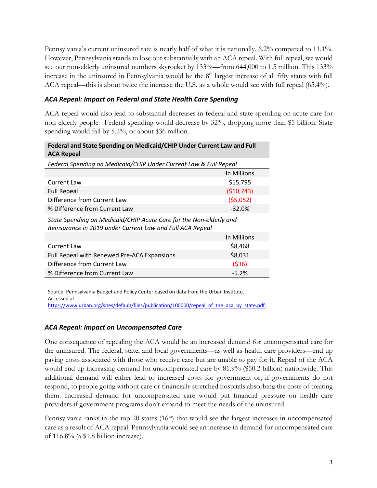Pennsylvania's current uninsured rate is nearly half of what it is nationally, 6.2% compared to 11.1%. However, Pennsylvania stands to lose out substantially with an ACA repeal. With full repeal, we would see our non-elderly uninsured numbers skyrocket by 133%—from 644,000 to 1.5 million. This 133% increase in the uninsured in Pennsylvania would be the 8<sup>th</sup> largest increase of all fifty states with full ACA repeal—this is about twice the increase the U.S. as a whole would see with full repeal (65.4%).

## *ACA Repeal: Impact on Federal and State Health Care Spending*

ACA repeal would also lead to substantial decreases in federal and state spending on acute care for non-elderly people. Federal spending would decrease by 32%, dropping more than \$5 billion. State spending would fall by 5.2%, or about \$36 million.

| Federal and State Spending on Medicaid/CHIP Under Current Law and Full<br><b>ACA Repeal</b>                                     |             |  |
|---------------------------------------------------------------------------------------------------------------------------------|-------------|--|
| Federal Spending on Medicaid/CHIP Under Current Law & Full Repeal                                                               |             |  |
|                                                                                                                                 | In Millions |  |
| Current Law                                                                                                                     | \$15,795    |  |
| <b>Full Repeal</b>                                                                                                              | (510, 743)  |  |
| Difference from Current Law                                                                                                     | (55,052)    |  |
| % Difference from Current Law                                                                                                   | $-32.0%$    |  |
| State Spending on Medicaid/CHIP Acute Care for the Non-elderly and<br>Reinsurance in 2019 under Current Law and Full ACA Repeal |             |  |
|                                                                                                                                 | In Millions |  |
| Current Law                                                                                                                     | \$8,468     |  |
| Full Repeal with Renewed Pre-ACA Expansions                                                                                     | \$8,031     |  |
| Difference from Current Law                                                                                                     | (536)       |  |
| % Difference from Current Law                                                                                                   | $-5.2%$     |  |

Source: Pennsylvania Budget and Policy Center based on data from the Urban Institute. Accessed at: https://www.urban.org/sites/default/files/publication/100000/repeal\_of\_the\_aca\_by\_state.pdf.

## *ACA Repeal: Impact on Uncompensated Care*

One consequence of repealing the ACA would be an increased demand for uncompensated care for the uninsured. The federal, state, and local governments—as well as health care providers—end up paying costs associated with those who receive care but are unable to pay for it. Repeal of the ACA would end up increasing demand for uncompensated care by 81.9% (\$50.2 billion) nationwide. This additional demand will either lead to increased costs for government or, if governments do not respond, to people going without care or financially stretched hospitals absorbing the costs of treating them. Increased demand for uncompensated care would put financial pressure on health care providers if government programs don't expand to meet the needs of the uninsured.

Pennsylvania ranks in the top 20 states  $(16<sup>th</sup>)$  that would see the largest increases in uncompensated care as a result of ACA repeal. Pennsylvania would see an increase in demand for uncompensated care of 116.8% (a \$1.8 billion increase).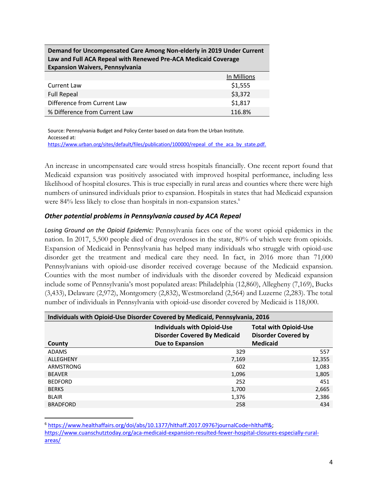| Law and Full ACA Repeal with Renewed Pre-ACA Medicaid Coverage<br><b>Expansion Waivers, Pennsylvania</b> |             |  |
|----------------------------------------------------------------------------------------------------------|-------------|--|
|                                                                                                          | In Millions |  |
| <b>Current Law</b>                                                                                       | \$1,555     |  |
| <b>Full Repeal</b>                                                                                       | \$3,372     |  |
| Difference from Current Law                                                                              | \$1,817     |  |
| % Difference from Current Law                                                                            | 116.8%      |  |

**Demand for Uncompensated Care Among Non-elderly in 2019 Under Current** 

Source: Pennsylvania Budget and Policy Center based on data from the Urban Institute. Accessed at: https://www.urban.org/sites/default/files/publication/100000/repeal\_of\_the\_aca\_by\_state.pdf.

An increase in uncompensated care would stress hospitals financially. One recent report found that Medicaid expansion was positively associated with improved hospital performance, including less likelihood of hospital closures. This is true especially in rural areas and counties where there were high numbers of uninsured individuals prior to expansion. Hospitals in states that had Medicaid expansion were 84% less likely to close than hospitals in non-expansion states. 6

#### *Other potential problems in Pennsylvania caused by ACA Repeal*

*Losing Ground on the Opioid Epidemic:* Pennsylvania faces one of the worst opioid epidemics in the nation. In 2017, 5,500 people died of drug overdoses in the state, 80% of which were from opioids. Expansion of Medicaid in Pennsylvania has helped many individuals who struggle with opioid-use disorder get the treatment and medical care they need. In fact, in 2016 more than 71,000 Pennsylvanians with opioid-use disorder received coverage because of the Medicaid expansion. Counties with the most number of individuals with the disorder covered by Medicaid expansion include some of Pennsylvania's most populated areas: Philadelphia (12,860), Allegheny (7,169), Bucks (3,433), Delaware (2,972), Montgomery (2,832), Westmoreland (2,564) and Luzerne (2,283). The total number of individuals in Pennsylvania with opioid-use disorder covered by Medicaid is 118,000.

| Individuals with Opioid-Use Disorder Covered by Medicaid, Pennsylvania, 2016 |                                                                           |                                                            |  |  |
|------------------------------------------------------------------------------|---------------------------------------------------------------------------|------------------------------------------------------------|--|--|
|                                                                              | <b>Individuals with Opioid-Use</b><br><b>Disorder Covered By Medicaid</b> | <b>Total with Opioid-Use</b><br><b>Disorder Covered by</b> |  |  |
| County                                                                       | <b>Due to Expansion</b>                                                   | <b>Medicaid</b>                                            |  |  |
| <b>ADAMS</b>                                                                 | 329                                                                       | 557                                                        |  |  |
| ALLEGHENY                                                                    | 7,169                                                                     | 12,355                                                     |  |  |
| ARMSTRONG                                                                    | 602                                                                       | 1,083                                                      |  |  |
| <b>BEAVER</b>                                                                | 1,096                                                                     | 1,805                                                      |  |  |
| <b>BEDFORD</b>                                                               | 252                                                                       | 451                                                        |  |  |
| <b>BERKS</b>                                                                 | 1,700                                                                     | 2,665                                                      |  |  |
| <b>BLAIR</b>                                                                 | 1,376                                                                     | 2,386                                                      |  |  |
| <b>BRADFORD</b>                                                              | 258                                                                       | 434                                                        |  |  |

 <sup>6</sup> https://www.healthaffairs.org/doi/abs/10.1377/hlthaff.2017.0976?journalCode=hlthaff&; https://www.cuanschutztoday.org/aca-medicaid-expansion-resulted-fewer-hospital-closures-especially-ruralareas/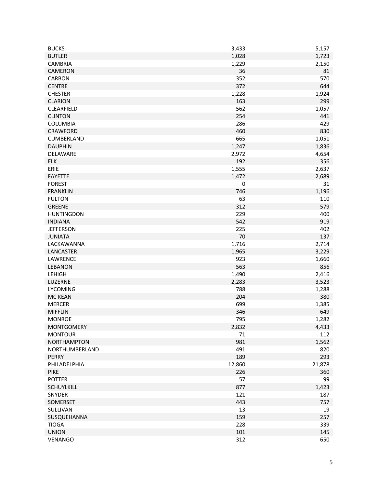| <b>BUCKS</b>       | 3,433     | 5,157  |
|--------------------|-----------|--------|
| <b>BUTLER</b>      | 1,028     | 1,723  |
| <b>CAMBRIA</b>     | 1,229     | 2,150  |
| CAMERON            | 36        | 81     |
| CARBON             | 352       | 570    |
| <b>CENTRE</b>      | 372       | 644    |
| <b>CHESTER</b>     | 1,228     | 1,924  |
| <b>CLARION</b>     | 163       | 299    |
| CLEARFIELD         | 562       | 1,057  |
| <b>CLINTON</b>     | 254       | 441    |
| <b>COLUMBIA</b>    | 286       | 429    |
| <b>CRAWFORD</b>    | 460       | 830    |
| CUMBERLAND         | 665       | 1,051  |
| <b>DAUPHIN</b>     | 1,247     | 1,836  |
| DELAWARE           | 2,972     | 4,654  |
| <b>ELK</b>         | 192       | 356    |
| ERIE               | 1,555     | 2,637  |
| <b>FAYETTE</b>     | 1,472     | 2,689  |
| <b>FOREST</b>      | $\pmb{0}$ | 31     |
| <b>FRANKLIN</b>    | 746       | 1,196  |
| <b>FULTON</b>      | 63        | 110    |
| <b>GREENE</b>      | 312       | 579    |
| <b>HUNTINGDON</b>  | 229       | 400    |
|                    |           |        |
| <b>INDIANA</b>     | 542       | 919    |
| <b>JEFFERSON</b>   | 225       | 402    |
| <b>JUNIATA</b>     | 70        | 137    |
| LACKAWANNA         | 1,716     | 2,714  |
| LANCASTER          | 1,965     | 3,229  |
| LAWRENCE           | 923       | 1,660  |
| <b>LEBANON</b>     | 563       | 856    |
| <b>LEHIGH</b>      | 1,490     | 2,416  |
| LUZERNE            | 2,283     | 3,523  |
| <b>LYCOMING</b>    | 788       | 1,288  |
| <b>MC KEAN</b>     | 204       | 380    |
| <b>MERCER</b>      | 699       | 1,385  |
| <b>MIFFLIN</b>     | 346       | 649    |
| <b>MONROE</b>      | 795       | 1,282  |
| <b>MONTGOMERY</b>  | 2,832     | 4,433  |
| <b>MONTOUR</b>     | 71        | 112    |
| <b>NORTHAMPTON</b> | 981       | 1,562  |
| NORTHUMBERLAND     | 491       | 820    |
| <b>PERRY</b>       | 189       | 293    |
| PHILADELPHIA       | 12,860    | 21,878 |
| <b>PIKE</b>        | 226       | 360    |
| <b>POTTER</b>      | 57        | 99     |
| SCHUYLKILL         | 877       | 1,423  |
| SNYDER             | 121       | 187    |
| SOMERSET           | 443       | 757    |
| SULLIVAN           | 13        | 19     |
| SUSQUEHANNA        | 159       | 257    |
| <b>TIOGA</b>       | 228       | 339    |
| <b>UNION</b>       | 101       | 145    |
| VENANGO            | 312       | 650    |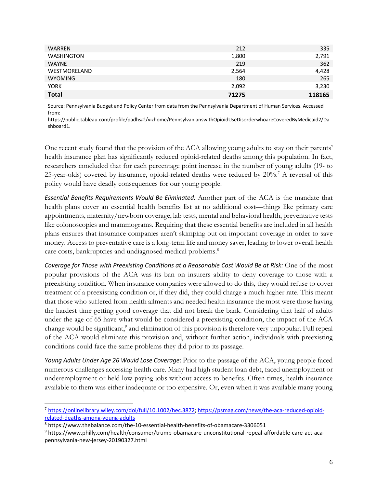| <b>WARREN</b>     | 212   | 335    |
|-------------------|-------|--------|
| <b>WASHINGTON</b> | 1,800 | 2,791  |
| <b>WAYNE</b>      | 219   | 362    |
| WESTMORELAND      | 2,564 | 4,428  |
| <b>WYOMING</b>    | 180   | 265    |
| <b>YORK</b>       | 2,092 | 3,230  |
| <b>Total</b>      | 71275 | 118165 |

Source: Pennsylvania Budget and Policy Center from data from the Pennsylvania Department of Human Services. Accessed from:

https://public.tableau.com/profile/padhs#!/vizhome/PennsylvanianswithOpioidUseDisorderwhoareCoveredByMedicaid2/Da shboard1.

One recent study found that the provision of the ACA allowing young adults to stay on their parents' health insurance plan has significantly reduced opioid-related deaths among this population. In fact, researchers concluded that for each percentage point increase in the number of young adults (19- to 25-year-olds) covered by insurance, opioid-related deaths were reduced by 20%.<sup>7</sup> A reversal of this policy would have deadly consequences for our young people.

*Essential Benefits Requirements Would Be Eliminated:* Another part of the ACA is the mandate that health plans cover an essential health benefits list at no additional cost—things like primary care appointments, maternity/newborn coverage, lab tests, mental and behavioral health, preventative tests like colonoscopies and mammograms. Requiring that these essential benefits are included in all health plans ensures that insurance companies aren't skimping out on important coverage in order to save money. Access to preventative care is a long-term life and money saver, leading to lower overall health care costs, bankruptcies and undiagnosed medical problems.<sup>8</sup>

*Coverage for Those with Preexisting Conditions at a Reasonable Cost Would Be at Risk:* One of the most popular provisions of the ACA was its ban on insurers ability to deny coverage to those with a preexisting condition. When insurance companies were allowed to do this, they would refuse to cover treatment of a preexisting condition or, if they did, they could charge a much higher rate. This meant that those who suffered from health ailments and needed health insurance the most were those having the hardest time getting good coverage that did not break the bank. Considering that half of adults under the age of 65 have what would be considered a preexisting condition, the impact of the ACA change would be significant,<sup>9</sup> and elimination of this provision is therefore very unpopular. Full repeal of the ACA would eliminate this provision and, without further action, individuals with preexisting conditions could face the same problems they did prior to its passage.

*Young Adults Under Age 26 Would Lose Coverage*: Prior to the passage of the ACA, young people faced numerous challenges accessing health care. Many had high student loan debt, faced unemployment or underemployment or held low-paying jobs without access to benefits. Often times, health insurance available to them was either inadequate or too expensive. Or, even when it was available many young

 <sup>7</sup> https://onlinelibrary.wiley.com/doi/full/10.1002/hec.3872; https://psmag.com/news/the-aca-reduced-opioidrelated-deaths-among-young-adults

<sup>8</sup> https://www.thebalance.com/the-10-essential-health-benefits-of-obamacare-3306051

<sup>9</sup> https://www.philly.com/health/consumer/trump-obamacare-unconstitutional-repeal-affordable-care-act-acapennsylvania-new-jersey-20190327.html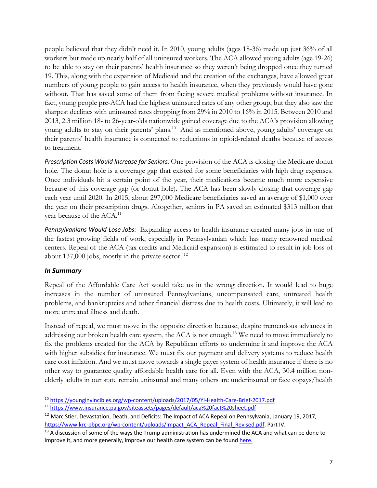people believed that they didn't need it. In 2010, young adults (ages 18-36) made up just 36% of all workers but made up nearly half of all uninsured workers. The ACA allowed young adults (age 19-26) to be able to stay on their parents' health insurance so they weren't being dropped once they turned 19. This, along with the expansion of Medicaid and the creation of the exchanges, have allowed great numbers of young people to gain access to health insurance, when they previously would have gone without. That has saved some of them from facing severe medical problems without insurance. In fact, young people pre-ACA had the highest uninsured rates of any other group, but they also saw the sharpest declines with uninsured rates dropping from 29% in 2010 to 16% in 2015. Between 2010 and 2013, 2.3 million 18- to 26-year-olds nationwide gained coverage due to the ACA's provision allowing young adults to stay on their parents' plans.<sup>10</sup> And as mentioned above, young adults' coverage on their parents' health insurance is connected to reductions in opioid-related deaths because of access to treatment.

*Prescription Costs Would Increase for Seniors:* One provision of the ACA is closing the Medicare donut hole. The donut hole is a coverage gap that existed for some beneficiaries with high drug expenses. Once individuals hit a certain point of the year, their medications became much more expensive because of this coverage gap (or donut hole). The ACA has been slowly closing that coverage gap each year until 2020. In 2015, about 297,000 Medicare beneficiaries saved an average of \$1,000 over the year on their prescription drugs. Altogether, seniors in PA saved an estimated \$313 million that year because of the ACA.<sup>11</sup>

*Pennsylvanians Would Lose Jobs:* Expanding access to health insurance created many jobs in one of the fastest growing fields of work, especially in Pennsylvanian which has many renowned medical centers. Repeal of the ACA (tax credits and Medicaid expansion) is estimated to result in job loss of about 137,000 jobs, mostly in the private sector.  $^{12}$ 

## *In Summary*

Repeal of the Affordable Care Act would take us in the wrong direction. It would lead to huge increases in the number of uninsured Pennsylvanians, uncompensated care, untreated health problems, and bankruptcies and other financial distress due to health costs. Ultimately, it will lead to more untreated illness and death.

Instead of repeal, we must move in the opposite direction because, despite tremendous advances in addressing our broken health care system, the ACA is not enough.<sup>13</sup> We need to move immediately to fix the problems created for the ACA by Republican efforts to undermine it and improve the ACA with higher subsidies for insurance. We must fix our payment and delivery systems to reduce health care cost inflation. And we must move towards a single payer system of health insurance if there is no other way to guarantee quality affordable health care for all. Even with the ACA, 30.4 million nonelderly adults in our state remain uninsured and many others are underinsured or face copays/health

 <sup>10</sup> https://younginvincibles.org/wp-content/uploads/2017/05/YI-Health-Care-Brief-2017.pdf

<sup>11</sup> https://www.insurance.pa.gov/siteassets/pages/default/aca%20fact%20sheet.pdf

<sup>&</sup>lt;sup>12</sup> Marc Stier, Devastation, Death, and Deficits: The Impact of ACA Repeal on Pennsylvania, January 19, 2017, https://www.krc-pbpc.org/wp-content/uploads/Impact\_ACA\_Repeal\_Final\_Revised.pdf, Part IV.

<sup>&</sup>lt;sup>13</sup> A discussion of some of the ways the Trump administration has undermined the ACA and what can be done to improve it, and more generally, improve our health care system can be found here.